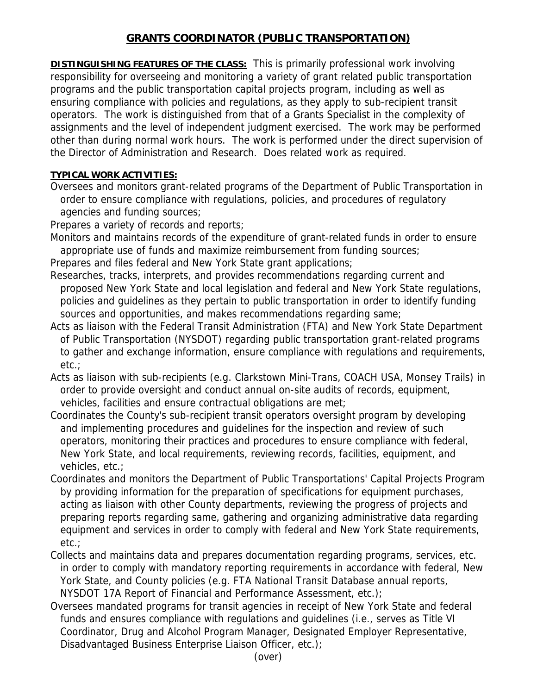## **GRANTS COORDINATOR (PUBLIC TRANSPORTATION)**

**DISTINGUISHING FEATURES OF THE CLASS:** This is primarily professional work involving responsibility for overseeing and monitoring a variety of grant related public transportation programs and the public transportation capital projects program, including as well as ensuring compliance with policies and regulations, as they apply to sub-recipient transit operators. The work is distinguished from that of a Grants Specialist in the complexity of assignments and the level of independent judgment exercised. The work may be performed other than during normal work hours. The work is performed under the direct supervision of the Director of Administration and Research. Does related work as required.

## **TYPICAL WORK ACTIVITIES:**

Oversees and monitors grant-related programs of the Department of Public Transportation in order to ensure compliance with regulations, policies, and procedures of regulatory agencies and funding sources;

Prepares a variety of records and reports;

Monitors and maintains records of the expenditure of grant-related funds in order to ensure appropriate use of funds and maximize reimbursement from funding sources;

Prepares and files federal and New York State grant applications;

- Researches, tracks, interprets, and provides recommendations regarding current and proposed New York State and local legislation and federal and New York State regulations, policies and guidelines as they pertain to public transportation in order to identify funding sources and opportunities, and makes recommendations regarding same;
- Acts as liaison with the Federal Transit Administration (FTA) and New York State Department of Public Transportation (NYSDOT) regarding public transportation grant-related programs to gather and exchange information, ensure compliance with regulations and requirements, etc.;
- Acts as liaison with sub-recipients (e.g. Clarkstown Mini-Trans, COACH USA, Monsey Trails) in order to provide oversight and conduct annual on-site audits of records, equipment, vehicles, facilities and ensure contractual obligations are met;
- Coordinates the County's sub-recipient transit operators oversight program by developing and implementing procedures and guidelines for the inspection and review of such operators, monitoring their practices and procedures to ensure compliance with federal, New York State, and local requirements, reviewing records, facilities, equipment, and vehicles, etc.;
- Coordinates and monitors the Department of Public Transportations' Capital Projects Program by providing information for the preparation of specifications for equipment purchases, acting as liaison with other County departments, reviewing the progress of projects and preparing reports regarding same, gathering and organizing administrative data regarding equipment and services in order to comply with federal and New York State requirements, etc.;
- Collects and maintains data and prepares documentation regarding programs, services, etc. in order to comply with mandatory reporting requirements in accordance with federal, New York State, and County policies (e.g. FTA National Transit Database annual reports, NYSDOT 17A Report of Financial and Performance Assessment, etc.);
- Oversees mandated programs for transit agencies in receipt of New York State and federal funds and ensures compliance with regulations and guidelines (i.e., serves as Title VI Coordinator, Drug and Alcohol Program Manager, Designated Employer Representative, Disadvantaged Business Enterprise Liaison Officer, etc.);